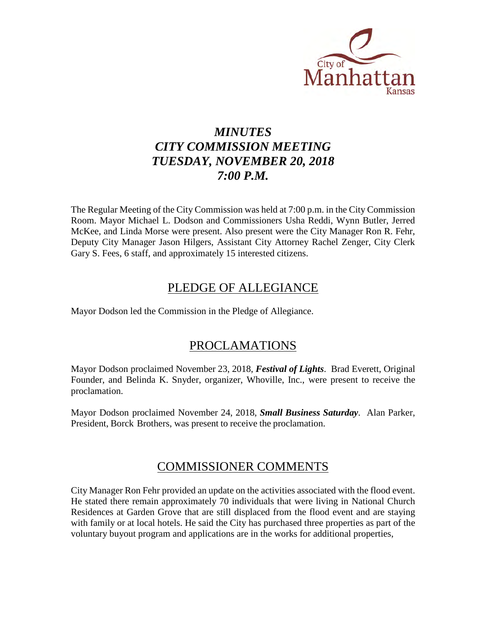

# *MINUTES CITY COMMISSION MEETING TUESDAY, NOVEMBER 20, 2018 7:00 P.M.*

The Regular Meeting of the City Commission was held at 7:00 p.m. in the City Commission Room. Mayor Michael L. Dodson and Commissioners Usha Reddi, Wynn Butler, Jerred McKee, and Linda Morse were present. Also present were the City Manager Ron R. Fehr, Deputy City Manager Jason Hilgers, Assistant City Attorney Rachel Zenger, City Clerk Gary S. Fees, 6 staff, and approximately 15 interested citizens.

## PLEDGE OF ALLEGIANCE

Mayor Dodson led the Commission in the Pledge of Allegiance.

## PROCLAMATIONS

Mayor Dodson proclaimed November 23, 2018, *Festival of Lights*. Brad Everett, Original Founder, and Belinda K. Snyder, organizer, Whoville, Inc., were present to receive the proclamation.

Mayor Dodson proclaimed November 24, 2018, *Small Business Saturday*. Alan Parker, President, Borck Brothers, was present to receive the proclamation.

### COMMISSIONER COMMENTS

City Manager Ron Fehr provided an update on the activities associated with the flood event. He stated there remain approximately 70 individuals that were living in National Church Residences at Garden Grove that are still displaced from the flood event and are staying with family or at local hotels. He said the City has purchased three properties as part of the voluntary buyout program and applications are in the works for additional properties,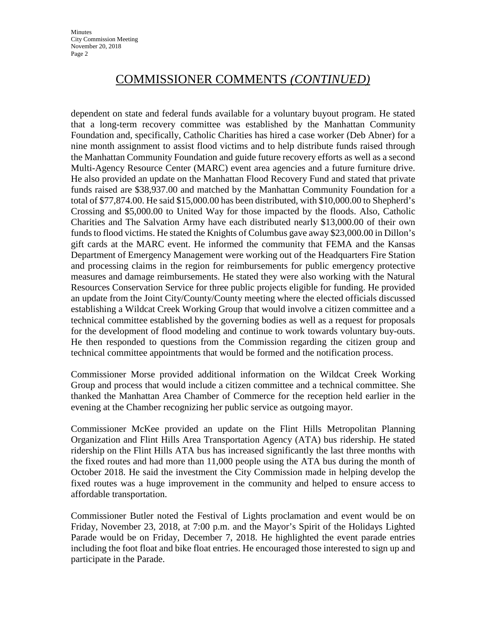# COMMISSIONER COMMENTS *(CONTINUED)*

dependent on state and federal funds available for a voluntary buyout program. He stated that a long-term recovery committee was established by the Manhattan Community Foundation and, specifically, Catholic Charities has hired a case worker (Deb Abner) for a nine month assignment to assist flood victims and to help distribute funds raised through the Manhattan Community Foundation and guide future recovery efforts as well as a second Multi-Agency Resource Center (MARC) event area agencies and a future furniture drive. He also provided an update on the Manhattan Flood Recovery Fund and stated that private funds raised are \$38,937.00 and matched by the Manhattan Community Foundation for a total of \$77,874.00. He said \$15,000.00 has been distributed, with \$10,000.00 to Shepherd's Crossing and \$5,000.00 to United Way for those impacted by the floods. Also, Catholic Charities and The Salvation Army have each distributed nearly \$13,000.00 of their own funds to flood victims. He stated the Knights of Columbus gave away \$23,000.00 in Dillon's gift cards at the MARC event. He informed the community that FEMA and the Kansas Department of Emergency Management were working out of the Headquarters Fire Station and processing claims in the region for reimbursements for public emergency protective measures and damage reimbursements. He stated they were also working with the Natural Resources Conservation Service for three public projects eligible for funding. He provided an update from the Joint City/County/County meeting where the elected officials discussed establishing a Wildcat Creek Working Group that would involve a citizen committee and a technical committee established by the governing bodies as well as a request for proposals for the development of flood modeling and continue to work towards voluntary buy-outs. He then responded to questions from the Commission regarding the citizen group and technical committee appointments that would be formed and the notification process.

Commissioner Morse provided additional information on the Wildcat Creek Working Group and process that would include a citizen committee and a technical committee. She thanked the Manhattan Area Chamber of Commerce for the reception held earlier in the evening at the Chamber recognizing her public service as outgoing mayor.

Commissioner McKee provided an update on the Flint Hills Metropolitan Planning Organization and Flint Hills Area Transportation Agency (ATA) bus ridership. He stated ridership on the Flint Hills ATA bus has increased significantly the last three months with the fixed routes and had more than 11,000 people using the ATA bus during the month of October 2018. He said the investment the City Commission made in helping develop the fixed routes was a huge improvement in the community and helped to ensure access to affordable transportation.

Commissioner Butler noted the Festival of Lights proclamation and event would be on Friday, November 23, 2018, at 7:00 p.m. and the Mayor's Spirit of the Holidays Lighted Parade would be on Friday, December 7, 2018. He highlighted the event parade entries including the foot float and bike float entries. He encouraged those interested to sign up and participate in the Parade.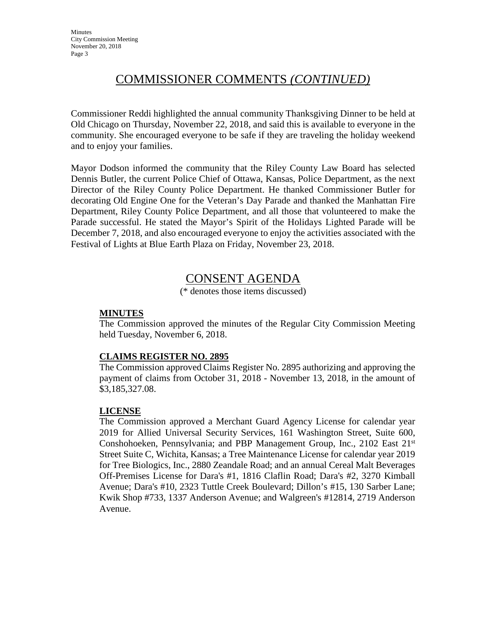# COMMISSIONER COMMENTS *(CONTINUED)*

Commissioner Reddi highlighted the annual community Thanksgiving Dinner to be held at Old Chicago on Thursday, November 22, 2018, and said this is available to everyone in the community. She encouraged everyone to be safe if they are traveling the holiday weekend and to enjoy your families.

Mayor Dodson informed the community that the Riley County Law Board has selected Dennis Butler, the current Police Chief of Ottawa, Kansas, Police Department, as the next Director of the Riley County Police Department. He thanked Commissioner Butler for decorating Old Engine One for the Veteran's Day Parade and thanked the Manhattan Fire Department, Riley County Police Department, and all those that volunteered to make the Parade successful. He stated the Mayor's Spirit of the Holidays Lighted Parade will be December 7, 2018, and also encouraged everyone to enjoy the activities associated with the Festival of Lights at Blue Earth Plaza on Friday, November 23, 2018.

### CONSENT AGENDA

(\* denotes those items discussed)

#### **MINUTES**

The Commission approved the minutes of the Regular City Commission Meeting held Tuesday, November 6, 2018.

#### **CLAIMS REGISTER NO. 2895**

The Commission approved Claims Register No. 2895 authorizing and approving the payment of claims from October 31, 2018 - November 13, 2018, in the amount of \$3,185,327.08.

#### **LICENSE**

The Commission approved a Merchant Guard Agency License for calendar year 2019 for Allied Universal Security Services, 161 Washington Street, Suite 600, Conshohoeken, Pennsylvania; and PBP Management Group, Inc., 2102 East 21st Street Suite C, Wichita, Kansas; a Tree Maintenance License for calendar year 2019 for Tree Biologics, Inc., 2880 Zeandale Road; and an annual Cereal Malt Beverages Off-Premises License for Dara's #1, 1816 Claflin Road; Dara's #2, 3270 Kimball Avenue; Dara's #10, 2323 Tuttle Creek Boulevard; Dillon's #15, 130 Sarber Lane; Kwik Shop #733, 1337 Anderson Avenue; and Walgreen's #12814, 2719 Anderson Avenue.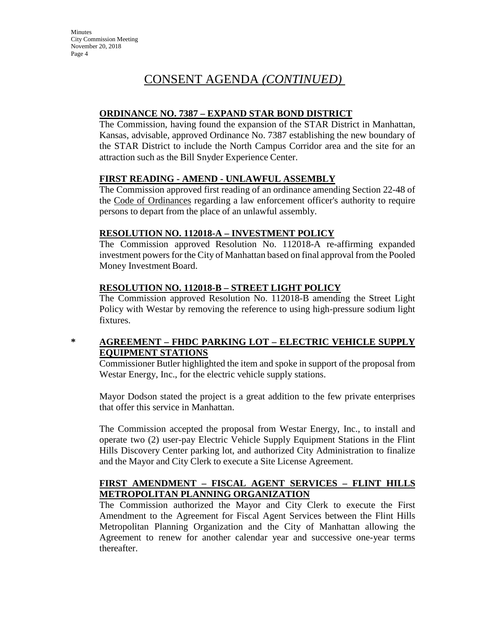# CONSENT AGENDA *(CONTINUED)*

### **ORDINANCE NO. 7387 – EXPAND STAR BOND DISTRICT**

The Commission, having found the expansion of the STAR District in Manhattan, Kansas, advisable, approved Ordinance No. 7387 establishing the new boundary of the STAR District to include the North Campus Corridor area and the site for an attraction such as the Bill Snyder Experience Center.

### **FIRST READING - AMEND - UNLAWFUL ASSEMBLY**

The Commission approved first reading of an ordinance amending Section 22-48 of the Code of Ordinances regarding a law enforcement officer's authority to require persons to depart from the place of an unlawful assembly.

### **RESOLUTION NO. 112018-A – INVESTMENT POLICY**

The Commission approved Resolution No. 112018-A re-affirming expanded investment powers for the City of Manhattan based on final approval from the Pooled Money Investment Board.

### **RESOLUTION NO. 112018-B – STREET LIGHT POLICY**

The Commission approved Resolution No. 112018-B amending the Street Light Policy with Westar by removing the reference to using high-pressure sodium light fixtures.

### **\* AGREEMENT – FHDC PARKING LOT – ELECTRIC VEHICLE SUPPLY EQUIPMENT STATIONS**

Commissioner Butler highlighted the item and spoke in support of the proposal from Westar Energy, Inc., for the electric vehicle supply stations.

Mayor Dodson stated the project is a great addition to the few private enterprises that offer this service in Manhattan.

The Commission accepted the proposal from Westar Energy, Inc., to install and operate two (2) user-pay Electric Vehicle Supply Equipment Stations in the Flint Hills Discovery Center parking lot, and authorized City Administration to finalize and the Mayor and City Clerk to execute a Site License Agreement.

### **FIRST AMENDMENT – FISCAL AGENT SERVICES – FLINT HILLS METROPOLITAN PLANNING ORGANIZATION**

The Commission authorized the Mayor and City Clerk to execute the First Amendment to the Agreement for Fiscal Agent Services between the Flint Hills Metropolitan Planning Organization and the City of Manhattan allowing the Agreement to renew for another calendar year and successive one-year terms thereafter.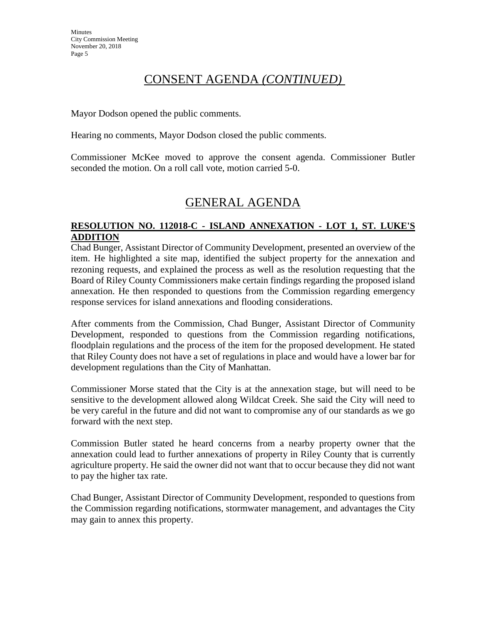# CONSENT AGENDA *(CONTINUED)*

Mayor Dodson opened the public comments.

Hearing no comments, Mayor Dodson closed the public comments.

Commissioner McKee moved to approve the consent agenda. Commissioner Butler seconded the motion. On a roll call vote, motion carried 5-0.

## GENERAL AGENDA

#### **RESOLUTION NO. 112018-C - ISLAND ANNEXATION - LOT 1, ST. LUKE'S ADDITION**

Chad Bunger, Assistant Director of Community Development, presented an overview of the item. He highlighted a site map, identified the subject property for the annexation and rezoning requests, and explained the process as well as the resolution requesting that the Board of Riley County Commissioners make certain findings regarding the proposed island annexation. He then responded to questions from the Commission regarding emergency response services for island annexations and flooding considerations.

After comments from the Commission, Chad Bunger, Assistant Director of Community Development, responded to questions from the Commission regarding notifications, floodplain regulations and the process of the item for the proposed development. He stated that Riley County does not have a set of regulations in place and would have a lower bar for development regulations than the City of Manhattan.

Commissioner Morse stated that the City is at the annexation stage, but will need to be sensitive to the development allowed along Wildcat Creek. She said the City will need to be very careful in the future and did not want to compromise any of our standards as we go forward with the next step.

Commission Butler stated he heard concerns from a nearby property owner that the annexation could lead to further annexations of property in Riley County that is currently agriculture property. He said the owner did not want that to occur because they did not want to pay the higher tax rate.

Chad Bunger, Assistant Director of Community Development, responded to questions from the Commission regarding notifications, stormwater management, and advantages the City may gain to annex this property.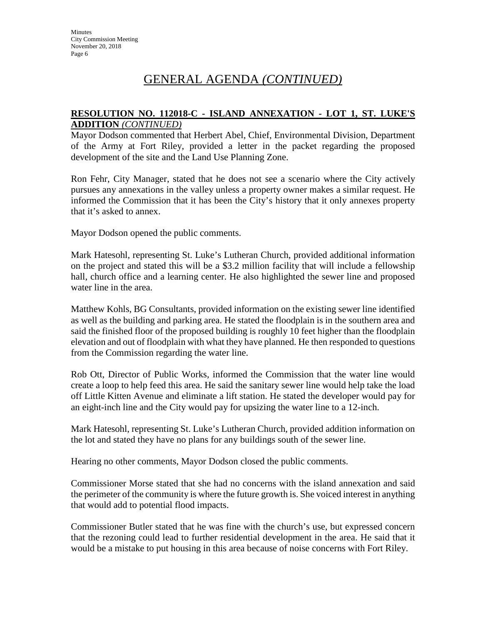# GENERAL AGENDA *(CONTINUED)*

#### **RESOLUTION NO. 112018-C - ISLAND ANNEXATION - LOT 1, ST. LUKE'S ADDITION** *(CONTINUED)*

Mayor Dodson commented that Herbert Abel, Chief, Environmental Division, Department of the Army at Fort Riley, provided a letter in the packet regarding the proposed development of the site and the Land Use Planning Zone.

Ron Fehr, City Manager, stated that he does not see a scenario where the City actively pursues any annexations in the valley unless a property owner makes a similar request. He informed the Commission that it has been the City's history that it only annexes property that it's asked to annex.

Mayor Dodson opened the public comments.

Mark Hatesohl, representing St. Luke's Lutheran Church, provided additional information on the project and stated this will be a \$3.2 million facility that will include a fellowship hall, church office and a learning center. He also highlighted the sewer line and proposed water line in the area.

Matthew Kohls, BG Consultants, provided information on the existing sewer line identified as well as the building and parking area. He stated the floodplain is in the southern area and said the finished floor of the proposed building is roughly 10 feet higher than the floodplain elevation and out of floodplain with what they have planned. He then responded to questions from the Commission regarding the water line.

Rob Ott, Director of Public Works, informed the Commission that the water line would create a loop to help feed this area. He said the sanitary sewer line would help take the load off Little Kitten Avenue and eliminate a lift station. He stated the developer would pay for an eight-inch line and the City would pay for upsizing the water line to a 12-inch.

Mark Hatesohl, representing St. Luke's Lutheran Church, provided addition information on the lot and stated they have no plans for any buildings south of the sewer line.

Hearing no other comments, Mayor Dodson closed the public comments.

Commissioner Morse stated that she had no concerns with the island annexation and said the perimeter of the community is where the future growth is. She voiced interest in anything that would add to potential flood impacts.

Commissioner Butler stated that he was fine with the church's use, but expressed concern that the rezoning could lead to further residential development in the area. He said that it would be a mistake to put housing in this area because of noise concerns with Fort Riley.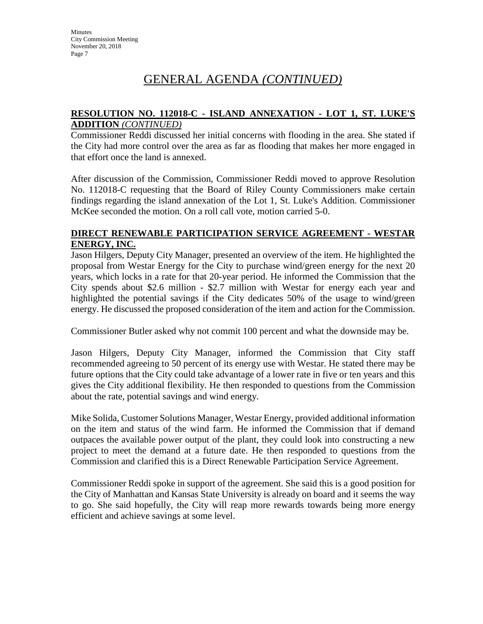# GENERAL AGENDA *(CONTINUED)*

#### **RESOLUTION NO. 112018-C - ISLAND ANNEXATION - LOT 1, ST. LUKE'S ADDITION** *(CONTINUED)*

Commissioner Reddi discussed her initial concerns with flooding in the area. She stated if the City had more control over the area as far as flooding that makes her more engaged in that effort once the land is annexed.

After discussion of the Commission, Commissioner Reddi moved to approve Resolution No. 112018-C requesting that the Board of Riley County Commissioners make certain findings regarding the island annexation of the Lot 1, St. Luke's Addition. Commissioner McKee seconded the motion. On a roll call vote, motion carried 5-0.

#### **DIRECT RENEWABLE PARTICIPATION SERVICE AGREEMENT - WESTAR ENERGY, INC.**

Jason Hilgers, Deputy City Manager, presented an overview of the item. He highlighted the proposal from Westar Energy for the City to purchase wind/green energy for the next 20 years, which locks in a rate for that 20-year period. He informed the Commission that the City spends about \$2.6 million - \$2.7 million with Westar for energy each year and highlighted the potential savings if the City dedicates 50% of the usage to wind/green energy. He discussed the proposed consideration of the item and action for the Commission.

Commissioner Butler asked why not commit 100 percent and what the downside may be.

Jason Hilgers, Deputy City Manager, informed the Commission that City staff recommended agreeing to 50 percent of its energy use with Westar. He stated there may be future options that the City could take advantage of a lower rate in five or ten years and this gives the City additional flexibility. He then responded to questions from the Commission about the rate, potential savings and wind energy.

Mike Solida, Customer Solutions Manager, Westar Energy, provided additional information on the item and status of the wind farm. He informed the Commission that if demand outpaces the available power output of the plant, they could look into constructing a new project to meet the demand at a future date. He then responded to questions from the Commission and clarified this is a Direct Renewable Participation Service Agreement.

Commissioner Reddi spoke in support of the agreement. She said this is a good position for the City of Manhattan and Kansas State University is already on board and it seems the way to go. She said hopefully, the City will reap more rewards towards being more energy efficient and achieve savings at some level.